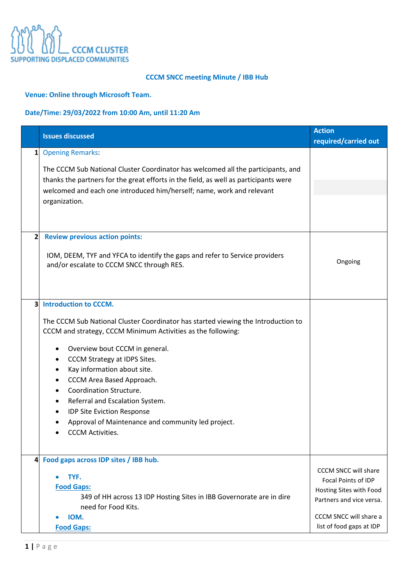

## **CCCM SNCC meeting Minute / IBB Hub**

## **Venue: Online through Microsoft Team.**

## **Date/Time: 29/03/2022 from 10:00 Am, until 11:20 Am**

|                         | <b>Issues discussed</b>                                                                                                                                       | <b>Action</b><br>required/carried out |
|-------------------------|---------------------------------------------------------------------------------------------------------------------------------------------------------------|---------------------------------------|
| 1 <sup>1</sup>          | <b>Opening Remarks:</b>                                                                                                                                       |                                       |
|                         | The CCCM Sub National Cluster Coordinator has welcomed all the participants, and                                                                              |                                       |
|                         | thanks the partners for the great efforts in the field, as well as participants were<br>welcomed and each one introduced him/herself; name, work and relevant |                                       |
|                         | organization.                                                                                                                                                 |                                       |
|                         |                                                                                                                                                               |                                       |
| 2                       | <b>Review previous action points:</b>                                                                                                                         |                                       |
|                         | IOM, DEEM, TYF and YFCA to identify the gaps and refer to Service providers<br>and/or escalate to CCCM SNCC through RES.                                      | Ongoing                               |
|                         |                                                                                                                                                               |                                       |
| $\overline{\mathbf{3}}$ | <b>Introduction to CCCM.</b>                                                                                                                                  |                                       |
|                         | The CCCM Sub National Cluster Coordinator has started viewing the Introduction to<br>CCCM and strategy, CCCM Minimum Activities as the following:             |                                       |
|                         | Overview bout CCCM in general.                                                                                                                                |                                       |
|                         | CCCM Strategy at IDPS Sites.<br>٠                                                                                                                             |                                       |
|                         | Kay information about site.<br>٠                                                                                                                              |                                       |
|                         | CCCM Area Based Approach.<br>٠<br>Coordination Structure.<br>$\bullet$                                                                                        |                                       |
|                         | Referral and Escalation System.<br>٠                                                                                                                          |                                       |
|                         | IDP Site Eviction Response<br>٠                                                                                                                               |                                       |
|                         | Approval of Maintenance and community led project.                                                                                                            |                                       |
|                         | <b>CCCM Activities.</b>                                                                                                                                       |                                       |
| $\overline{4}$          | Food gaps across IDP sites / IBB hub.                                                                                                                         |                                       |
|                         |                                                                                                                                                               | CCCM SNCC will share                  |
|                         | TYF.                                                                                                                                                          | Focal Points of IDP                   |
|                         | <b>Food Gaps:</b>                                                                                                                                             | Hosting Sites with Food               |
|                         | 349 of HH across 13 IDP Hosting Sites in IBB Governorate are in dire<br>need for Food Kits.                                                                   | Partners and vice versa.              |
|                         | IOM.                                                                                                                                                          | CCCM SNCC will share a                |
|                         | <b>Food Gaps:</b>                                                                                                                                             | list of food gaps at IDP              |